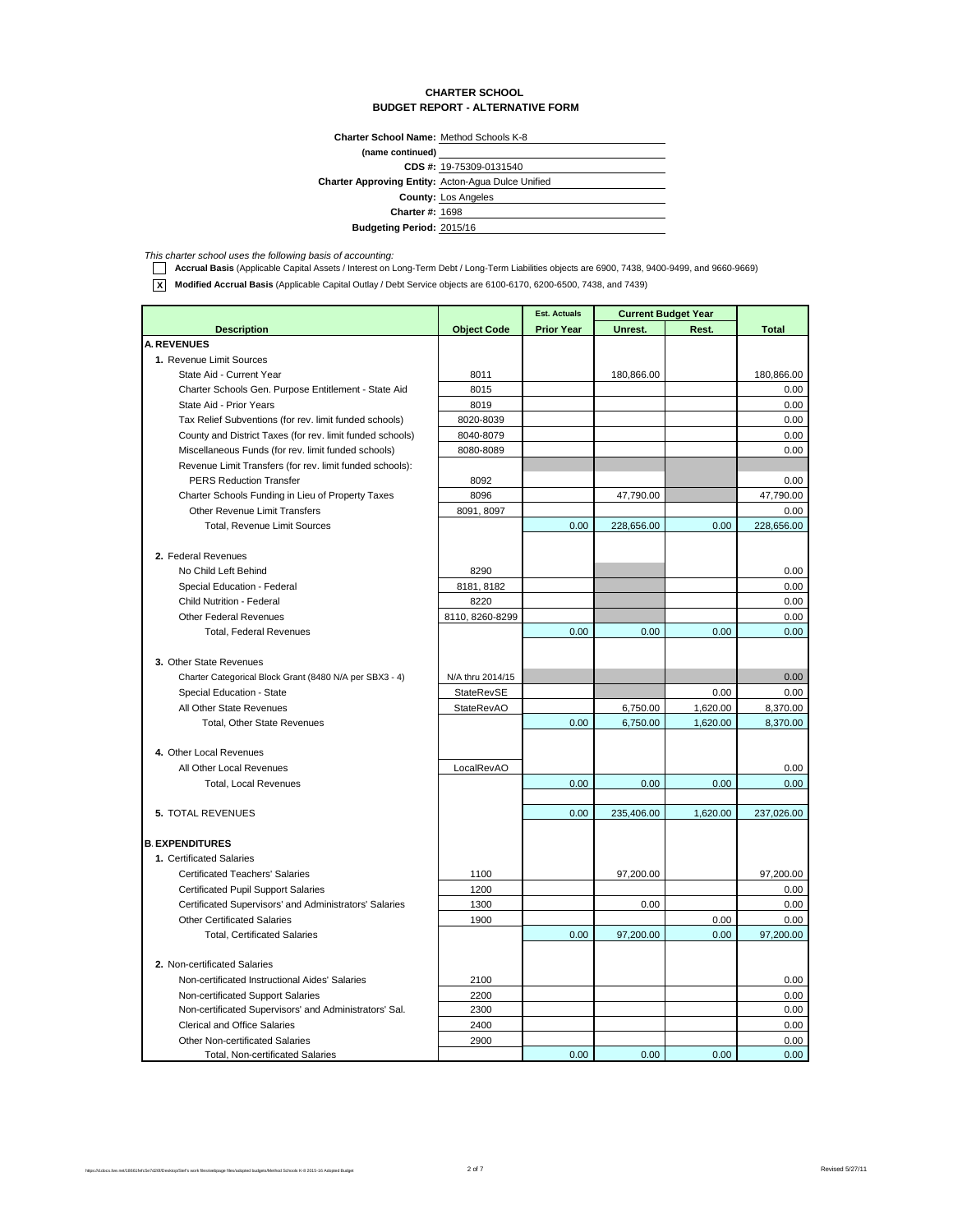#### **CHARTER SCHOOL BUDGET REPORT - ALTERNATIVE FORM**

**Charter School Name:** Method Schools K-8

| (name continued)                                          |                            |
|-----------------------------------------------------------|----------------------------|
|                                                           | CDS #: 19-75309-0131540    |
| <b>Charter Approving Entity: Acton-Agua Dulce Unified</b> |                            |
|                                                           | <b>County: Los Angeles</b> |
| <b>Charter #: 1698</b>                                    |                            |
| <b>Budgeting Period: 2015/16</b>                          |                            |

This charter school uses the following basis of accounting:<br>**1. Accrual Basis** (Applicable Capital Assets / Interest on Long-Term Debt / Long-Term Liabilities objects are 6900, 7438, 9400-9499, and 9660-9669)

**X Modified Accrual Basis** (Applicable Capital Outlay / Debt Service objects are 6100-6170, 6200-6500, 7438, and 7439)

|                                                           |                    | <b>Est. Actuals</b> | <b>Current Budget Year</b> |          |              |
|-----------------------------------------------------------|--------------------|---------------------|----------------------------|----------|--------------|
| <b>Description</b>                                        | <b>Object Code</b> | <b>Prior Year</b>   | Unrest.                    | Rest.    | <b>Total</b> |
| <b>A. REVENUES</b>                                        |                    |                     |                            |          |              |
| 1. Revenue Limit Sources                                  |                    |                     |                            |          |              |
| State Aid - Current Year                                  | 8011               |                     | 180,866.00                 |          | 180,866.00   |
| Charter Schools Gen. Purpose Entitlement - State Aid      | 8015               |                     |                            |          | 0.00         |
| State Aid - Prior Years                                   | 8019               |                     |                            |          | 0.00         |
| Tax Relief Subventions (for rev. limit funded schools)    | 8020-8039          |                     |                            |          | 0.00         |
| County and District Taxes (for rev. limit funded schools) | 8040-8079          |                     |                            |          | 0.00         |
| Miscellaneous Funds (for rev. limit funded schools)       | 8080-8089          |                     |                            |          | 0.00         |
| Revenue Limit Transfers (for rev. limit funded schools):  |                    |                     |                            |          |              |
| <b>PERS Reduction Transfer</b>                            | 8092               |                     |                            |          | 0.00         |
| Charter Schools Funding in Lieu of Property Taxes         | 8096               |                     | 47,790.00                  |          | 47,790.00    |
| Other Revenue Limit Transfers                             | 8091, 8097         |                     |                            |          | 0.00         |
| Total, Revenue Limit Sources                              |                    | 0.00                | 228,656.00                 | 0.00     | 228,656.00   |
|                                                           |                    |                     |                            |          |              |
| 2. Federal Revenues                                       |                    |                     |                            |          |              |
| No Child Left Behind                                      | 8290               |                     |                            |          | 0.00         |
| Special Education - Federal                               | 8181, 8182         |                     |                            |          | 0.00         |
| Child Nutrition - Federal                                 | 8220               |                     |                            |          | 0.00         |
| <b>Other Federal Revenues</b>                             | 8110, 8260-8299    |                     |                            |          | 0.00         |
| <b>Total, Federal Revenues</b>                            |                    | 0.00                | 0.00                       | 0.00     | 0.00         |
|                                                           |                    |                     |                            |          |              |
| 3. Other State Revenues                                   |                    |                     |                            |          |              |
| Charter Categorical Block Grant (8480 N/A per SBX3 - 4)   | N/A thru 2014/15   |                     |                            |          | 0.00         |
| Special Education - State                                 | StateRevSE         |                     |                            | 0.00     | 0.00         |
| All Other State Revenues                                  | <b>StateRevAO</b>  |                     | 6,750.00                   | 1,620.00 | 8,370.00     |
| <b>Total, Other State Revenues</b>                        |                    | 0.00                | 6,750.00                   | 1,620.00 | 8,370.00     |
|                                                           |                    |                     |                            |          |              |
| 4. Other Local Revenues                                   |                    |                     |                            |          |              |
| All Other Local Revenues                                  | LocalRevAO         |                     |                            |          | 0.00         |
| <b>Total, Local Revenues</b>                              |                    | 0.00                | 0.00                       | 0.00     | 0.00         |
|                                                           |                    |                     |                            |          |              |
| <b>5. TOTAL REVENUES</b>                                  |                    | 0.00                | 235,406.00                 | 1.620.00 | 237,026.00   |
|                                                           |                    |                     |                            |          |              |
| <b>B. EXPENDITURES</b>                                    |                    |                     |                            |          |              |
| 1. Certificated Salaries                                  |                    |                     |                            |          |              |
| <b>Certificated Teachers' Salaries</b>                    | 1100               |                     | 97,200.00                  |          | 97,200.00    |
| <b>Certificated Pupil Support Salaries</b>                | 1200               |                     |                            |          | 0.00         |
| Certificated Supervisors' and Administrators' Salaries    | 1300               |                     | 0.00                       |          | 0.00         |
| <b>Other Certificated Salaries</b>                        | 1900               |                     |                            | 0.00     | 0.00         |
| <b>Total, Certificated Salaries</b>                       |                    | 0.00                | 97,200.00                  | 0.00     | 97,200.00    |
|                                                           |                    |                     |                            |          |              |
| 2. Non-certificated Salaries                              |                    |                     |                            |          |              |
| Non-certificated Instructional Aides' Salaries            | 2100               |                     |                            |          | 0.00         |
| Non-certificated Support Salaries                         | 2200               |                     |                            |          | 0.00         |
| Non-certificated Supervisors' and Administrators' Sal.    | 2300               |                     |                            |          | 0.00         |
| <b>Clerical and Office Salaries</b>                       | 2400               |                     |                            |          | 0.00         |
| Other Non-certificated Salaries                           | 2900               |                     |                            |          | 0.00         |
| Total, Non-certificated Salaries                          |                    | 0.00                | 0.00                       | 0.00     | 0.00         |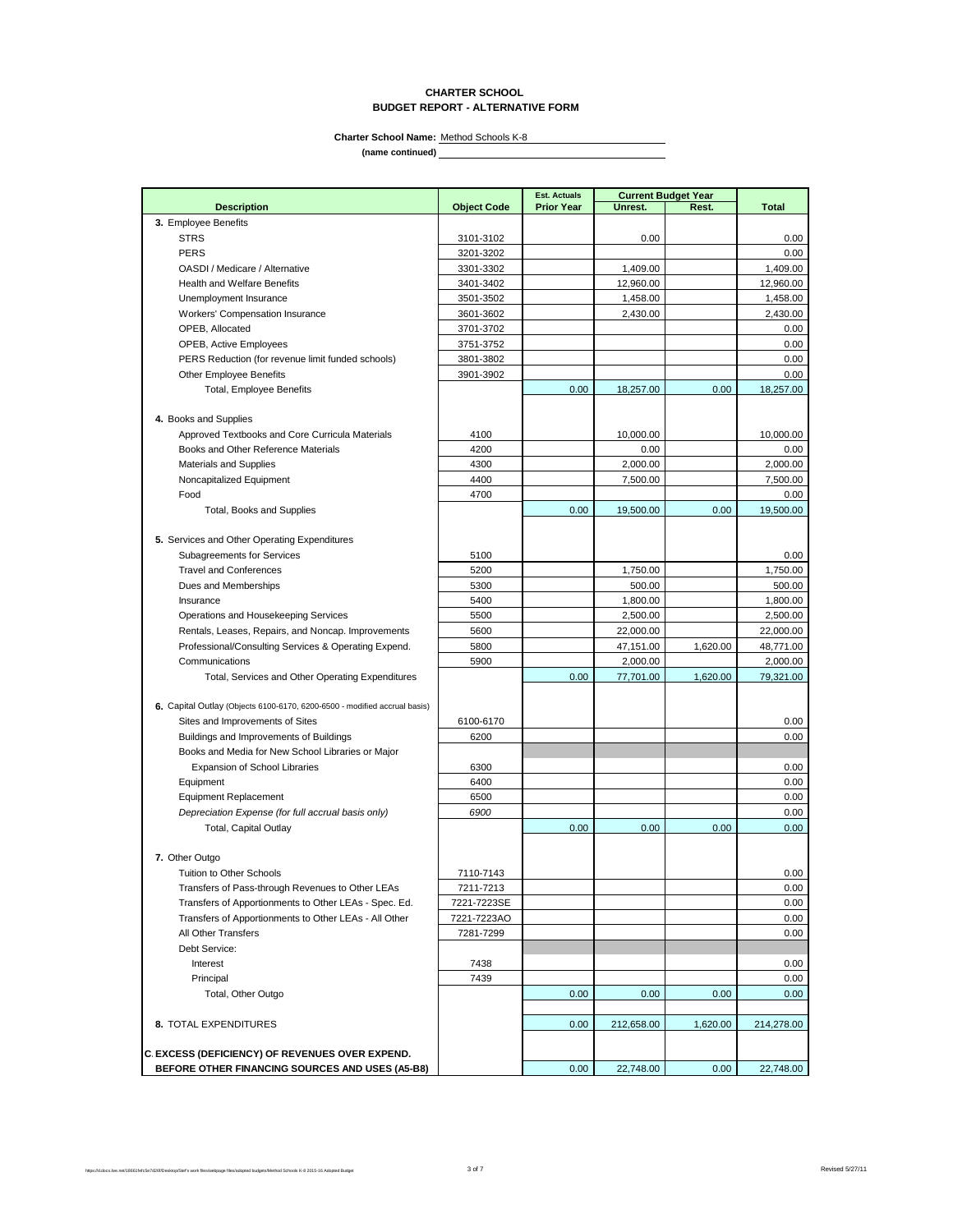### **CHARTER SCHOOL BUDGET REPORT - ALTERNATIVE FORM**

**Charter School Name:** Method Schools K-8

**(name continued)**

|                                                                           |                    | <b>Est. Actuals</b> | <b>Current Budget Year</b> |          |              |
|---------------------------------------------------------------------------|--------------------|---------------------|----------------------------|----------|--------------|
| <b>Description</b>                                                        | <b>Object Code</b> | <b>Prior Year</b>   | Unrest.                    | Rest.    | <b>Total</b> |
| 3. Employee Benefits                                                      |                    |                     |                            |          |              |
| <b>STRS</b>                                                               | 3101-3102          |                     | 0.00                       |          | 0.00         |
| <b>PERS</b>                                                               | 3201-3202          |                     |                            |          | 0.00         |
| OASDI / Medicare / Alternative                                            | 3301-3302          |                     | 1,409.00                   |          | 1,409.00     |
| <b>Health and Welfare Benefits</b>                                        | 3401-3402          |                     | 12,960.00                  |          | 12,960.00    |
| Unemployment Insurance                                                    | 3501-3502          |                     | 1,458.00                   |          | 1,458.00     |
| <b>Workers' Compensation Insurance</b>                                    | 3601-3602          |                     | 2,430.00                   |          | 2,430.00     |
| OPEB, Allocated                                                           | 3701-3702          |                     |                            |          | 0.00         |
| OPEB, Active Employees                                                    | 3751-3752          |                     |                            |          | 0.00         |
| PERS Reduction (for revenue limit funded schools)                         | 3801-3802          |                     |                            |          | 0.00         |
| Other Employee Benefits                                                   | 3901-3902          |                     |                            |          | 0.00         |
| <b>Total, Employee Benefits</b>                                           |                    | 0.00                | 18,257.00                  | 0.00     | 18,257.00    |
|                                                                           |                    |                     |                            |          |              |
| 4. Books and Supplies                                                     |                    |                     |                            |          |              |
| Approved Textbooks and Core Curricula Materials                           | 4100               |                     | 10,000.00                  |          | 10,000.00    |
| Books and Other Reference Materials                                       | 4200               |                     | 0.00                       |          | 0.00         |
| <b>Materials and Supplies</b>                                             | 4300               |                     | 2,000.00                   |          | 2,000.00     |
| Noncapitalized Equipment                                                  | 4400               |                     | 7,500.00                   |          | 7,500.00     |
| Food                                                                      | 4700               |                     |                            |          | 0.00         |
| Total, Books and Supplies                                                 |                    | 0.00                | 19,500.00                  | 0.00     | 19,500.00    |
|                                                                           |                    |                     |                            |          |              |
| 5. Services and Other Operating Expenditures                              |                    |                     |                            |          |              |
| Subagreements for Services                                                | 5100               |                     |                            |          | 0.00         |
| <b>Travel and Conferences</b>                                             | 5200               |                     | 1,750.00                   |          | 1,750.00     |
| Dues and Memberships                                                      | 5300               |                     | 500.00                     |          | 500.00       |
| Insurance                                                                 | 5400               |                     | 1,800.00                   |          | 1,800.00     |
| Operations and Housekeeping Services                                      | 5500               |                     | 2,500.00                   |          | 2,500.00     |
| Rentals, Leases, Repairs, and Noncap. Improvements                        | 5600               |                     | 22,000.00                  |          | 22,000.00    |
| Professional/Consulting Services & Operating Expend.                      | 5800               |                     | 47,151.00                  | 1,620.00 | 48,771.00    |
| Communications                                                            | 5900               |                     | 2,000.00                   |          | 2,000.00     |
| Total, Services and Other Operating Expenditures                          |                    | 0.00                | 77,701.00                  | 1,620.00 | 79,321.00    |
|                                                                           |                    |                     |                            |          |              |
| 6. Capital Outlay (Objects 6100-6170, 6200-6500 - modified accrual basis) |                    |                     |                            |          |              |
| Sites and Improvements of Sites                                           | 6100-6170          |                     |                            |          | 0.00         |
| Buildings and Improvements of Buildings                                   | 6200               |                     |                            |          | 0.00         |
| Books and Media for New School Libraries or Major                         |                    |                     |                            |          |              |
| <b>Expansion of School Libraries</b>                                      | 6300               |                     |                            |          | 0.00         |
| Equipment                                                                 | 6400               |                     |                            |          | 0.00         |
| <b>Equipment Replacement</b>                                              | 6500               |                     |                            |          | 0.00         |
| Depreciation Expense (for full accrual basis only)                        | 6900               |                     |                            |          | 0.00         |
| <b>Total, Capital Outlay</b>                                              |                    | 0.00                | 0.00                       | 0.00     | 0.00         |
|                                                                           |                    |                     |                            |          |              |
| 7. Other Outgo                                                            |                    |                     |                            |          |              |
| Tuition to Other Schools                                                  | 7110-7143          |                     |                            |          | 0.00         |
| Transfers of Pass-through Revenues to Other LEAs                          | 7211-7213          |                     |                            |          | 0.00         |
| Transfers of Apportionments to Other LEAs - Spec. Ed.                     | 7221-7223SE        |                     |                            |          | 0.00         |
| Transfers of Apportionments to Other LEAs - All Other                     | 7221-7223AO        |                     |                            |          | 0.00         |
| All Other Transfers                                                       | 7281-7299          |                     |                            |          | 0.00         |
| Debt Service:                                                             |                    |                     |                            |          |              |
| Interest                                                                  | 7438               |                     |                            |          | 0.00         |
| Principal                                                                 | 7439               |                     |                            |          | 0.00         |
| Total, Other Outgo                                                        |                    | 0.00                | 0.00                       | 0.00     | 0.00         |
|                                                                           |                    |                     |                            |          |              |
| 8. TOTAL EXPENDITURES                                                     |                    | 0.00                | 212,658.00                 | 1,620.00 | 214,278.00   |
|                                                                           |                    |                     |                            |          |              |
| C. EXCESS (DEFICIENCY) OF REVENUES OVER EXPEND.                           |                    |                     |                            |          |              |
| BEFORE OTHER FINANCING SOURCES AND USES (A5-B8)                           |                    | 0.00                | 22,748.00                  | 0.00     | 22,748.00    |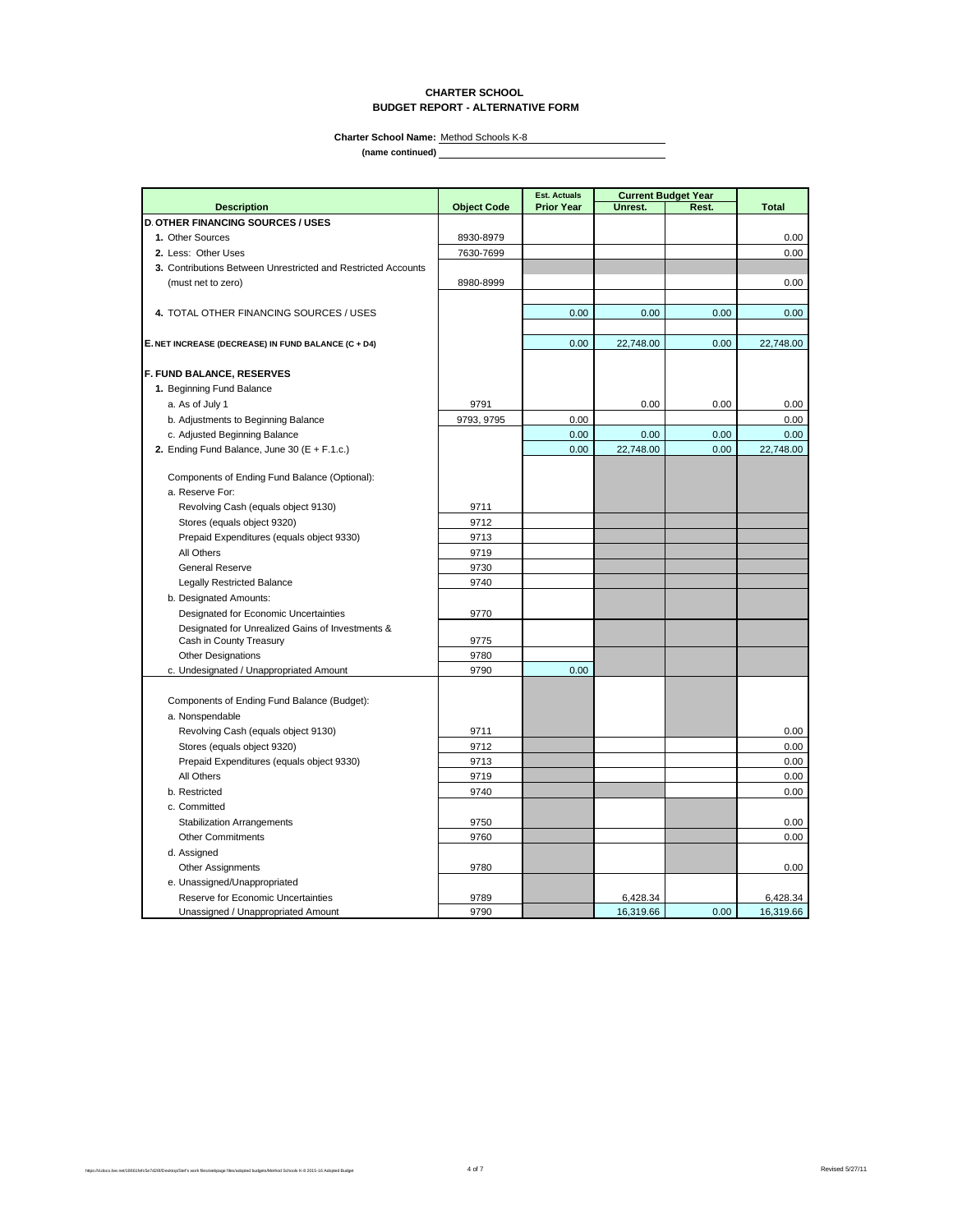### **CHARTER SCHOOL BUDGET REPORT - ALTERNATIVE FORM**

**(name continued) Charter School Name:** Method Schools K-8

|                                                                             |                    | <b>Est. Actuals</b> | <b>Current Budget Year</b> |       |              |
|-----------------------------------------------------------------------------|--------------------|---------------------|----------------------------|-------|--------------|
| <b>Description</b>                                                          | <b>Object Code</b> | <b>Prior Year</b>   | Unrest.                    | Rest. | <b>Total</b> |
| <b>D. OTHER FINANCING SOURCES / USES</b>                                    |                    |                     |                            |       |              |
| 1. Other Sources                                                            | 8930-8979          |                     |                            |       | 0.00         |
| 2. Less: Other Uses                                                         | 7630-7699          |                     |                            |       | 0.00         |
| 3. Contributions Between Unrestricted and Restricted Accounts               |                    |                     |                            |       |              |
| (must net to zero)                                                          | 8980-8999          |                     |                            |       | 0.00         |
|                                                                             |                    |                     |                            |       |              |
| 4. TOTAL OTHER FINANCING SOURCES / USES                                     |                    | 0.00                | 0.00                       | 0.00  | 0.00         |
|                                                                             |                    |                     |                            |       |              |
| E. NET INCREASE (DECREASE) IN FUND BALANCE (C + D4)                         |                    | 0.00                | 22,748.00                  | 0.00  | 22,748.00    |
|                                                                             |                    |                     |                            |       |              |
| F. FUND BALANCE, RESERVES                                                   |                    |                     |                            |       |              |
| 1. Beginning Fund Balance                                                   |                    |                     |                            |       |              |
| a. As of July 1                                                             | 9791               |                     | 0.00                       | 0.00  | 0.00         |
| b. Adjustments to Beginning Balance                                         | 9793, 9795         | 0.00                |                            |       | 0.00         |
| c. Adjusted Beginning Balance                                               |                    | 0.00                | 0.00                       | 0.00  | 0.00         |
| 2. Ending Fund Balance, June 30 ( $E + F.1.c.$ )                            |                    | 0.00                | 22,748.00                  | 0.00  | 22,748.00    |
|                                                                             |                    |                     |                            |       |              |
| Components of Ending Fund Balance (Optional):                               |                    |                     |                            |       |              |
| a. Reserve For:                                                             |                    |                     |                            |       |              |
| Revolving Cash (equals object 9130)                                         | 9711               |                     |                            |       |              |
| Stores (equals object 9320)                                                 | 9712               |                     |                            |       |              |
| Prepaid Expenditures (equals object 9330)                                   | 9713               |                     |                            |       |              |
| All Others                                                                  | 9719               |                     |                            |       |              |
| <b>General Reserve</b>                                                      | 9730               |                     |                            |       |              |
| <b>Legally Restricted Balance</b>                                           | 9740               |                     |                            |       |              |
| b. Designated Amounts:                                                      |                    |                     |                            |       |              |
| Designated for Economic Uncertainties                                       | 9770               |                     |                            |       |              |
| Designated for Unrealized Gains of Investments &<br>Cash in County Treasury | 9775               |                     |                            |       |              |
| Other Designations                                                          | 9780               |                     |                            |       |              |
| c. Undesignated / Unappropriated Amount                                     | 9790               | 0.00                |                            |       |              |
|                                                                             |                    |                     |                            |       |              |
| Components of Ending Fund Balance (Budget):                                 |                    |                     |                            |       |              |
| a. Nonspendable                                                             |                    |                     |                            |       |              |
| Revolving Cash (equals object 9130)                                         | 9711               |                     |                            |       | 0.00         |
| Stores (equals object 9320)                                                 | 9712               |                     |                            |       | 0.00         |
| Prepaid Expenditures (equals object 9330)                                   | 9713               |                     |                            |       | 0.00         |
| All Others                                                                  | 9719               |                     |                            |       | 0.00         |
| b. Restricted                                                               | 9740               |                     |                            |       | 0.00         |
| c. Committed                                                                |                    |                     |                            |       |              |
| <b>Stabilization Arrangements</b>                                           | 9750               |                     |                            |       | 0.00         |
| <b>Other Commitments</b>                                                    | 9760               |                     |                            |       | 0.00         |
| d. Assigned                                                                 |                    |                     |                            |       |              |
| Other Assignments                                                           | 9780               |                     |                            |       | 0.00         |
| e. Unassigned/Unappropriated                                                |                    |                     |                            |       |              |
| Reserve for Economic Uncertainties                                          | 9789               |                     | 6,428.34                   |       | 6,428.34     |
| Unassigned / Unappropriated Amount                                          | 9790               |                     | 16.319.66                  | 0.00  | 16.319.66    |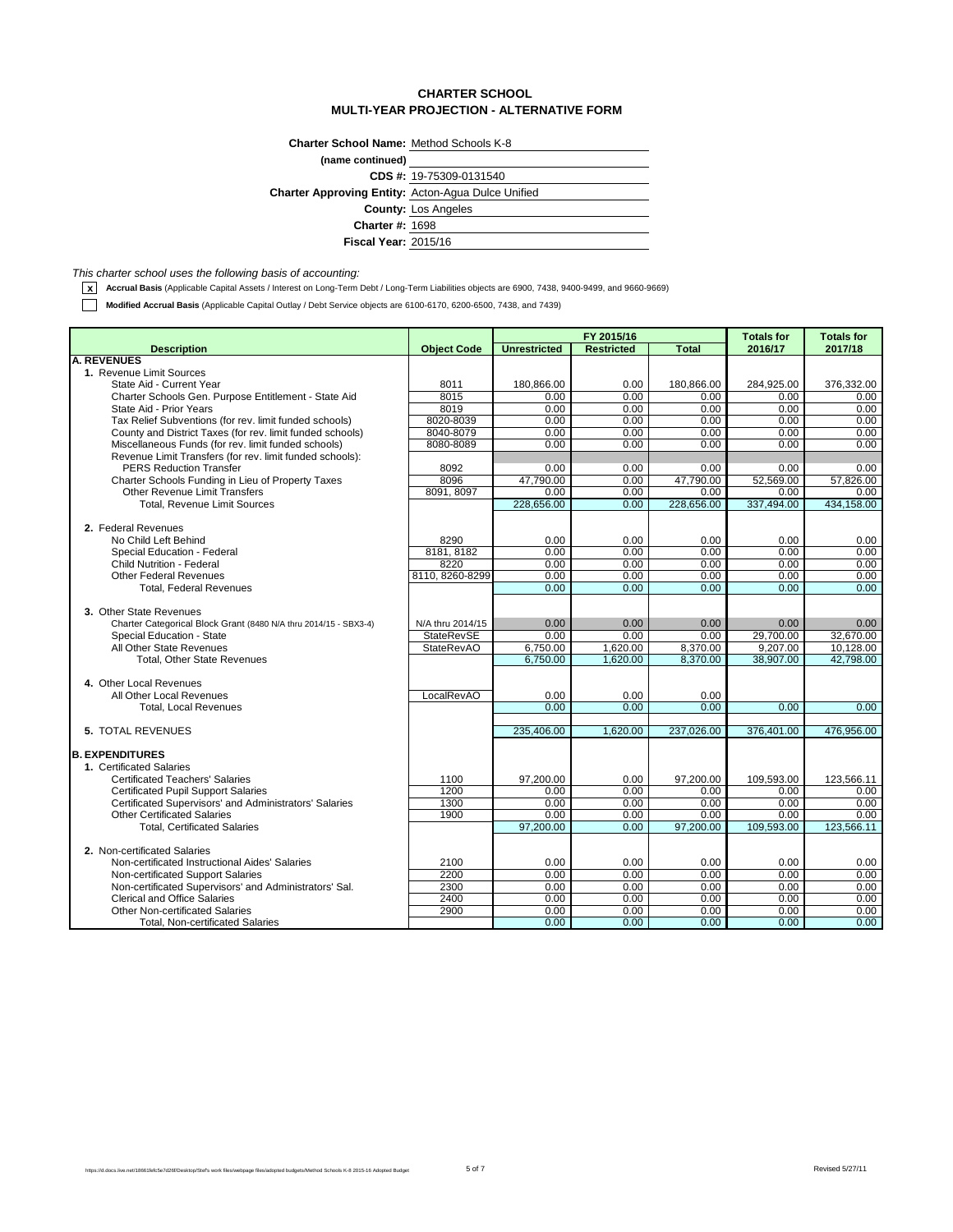## **CHARTER SCHOOL MULTI-YEAR PROJECTION - ALTERNATIVE FORM**

| <b>Charter School Name: Method Schools K-8</b>            |                            |
|-----------------------------------------------------------|----------------------------|
| (name continued)                                          |                            |
|                                                           | CDS #: 19-75309-0131540    |
| <b>Charter Approving Entity:</b> Acton-Agua Dulce Unified |                            |
|                                                           | <b>County: Los Angeles</b> |
| <b>Charter #: 1698</b>                                    |                            |
| <b>Fiscal Year: 2015/16</b>                               |                            |

*This charter school uses the following basis of accounting:*

**x** Accrual Basis (Applicable Capital Assets / Interest on Long-Term Debt / Long-Term Liabilities objects are 6900, 7438, 9400-9499, and 9660-9669)

**Modified Accrual Basis** (Applicable Capital Outlay / Debt Service objects are 6100-6170, 6200-6500, 7438, and 7439)

|                                                                                   |                    |                     | FY 2015/16        |              | <b>Totals for</b> | <b>Totals for</b> |
|-----------------------------------------------------------------------------------|--------------------|---------------------|-------------------|--------------|-------------------|-------------------|
| <b>Description</b>                                                                | <b>Object Code</b> | <b>Unrestricted</b> | <b>Restricted</b> | <b>Total</b> | 2016/17           | 2017/18           |
| <b>A. REVENUES</b>                                                                |                    |                     |                   |              |                   |                   |
| 1. Revenue Limit Sources                                                          |                    |                     |                   |              |                   |                   |
| State Aid - Current Year                                                          | 8011<br>8015       | 180,866.00          | 0.00<br>0.00      | 180,866.00   | 284,925.00        | 376,332.00        |
| Charter Schools Gen. Purpose Entitlement - State Aid                              |                    | 0.00                |                   | 0.00         | 0.00              | 0.00              |
| State Aid - Prior Years<br>Tax Relief Subventions (for rev. limit funded schools) | 8019<br>8020-8039  | 0.00<br>0.00        | 0.00<br>0.00      | 0.00<br>0.00 | 0.00<br>0.00      | 0.00<br>0.00      |
| County and District Taxes (for rev. limit funded schools)                         | 8040-8079          | 0.00                | 0.00              | 0.00         | 0.00              | 0.00              |
| Miscellaneous Funds (for rev. limit funded schools)                               | 8080-8089          | 0.00                | 0.00              | 0.00         | 0.00              | 0.00              |
| Revenue Limit Transfers (for rev. limit funded schools):                          |                    |                     |                   |              |                   |                   |
| <b>PERS Reduction Transfer</b>                                                    | 8092               | 0.00                | 0.00              | 0.00         | 0.00              | 0.00              |
| Charter Schools Funding in Lieu of Property Taxes                                 | 8096               | 47,790.00           | 0.00              | 47,790.00    | 52,569.00         | 57,826.00         |
| <b>Other Revenue Limit Transfers</b>                                              | 8091, 8097         | 0.00                | 0.00              | 0.00         | 0.00              | 0.00              |
| <b>Total, Revenue Limit Sources</b>                                               |                    | 228,656.00          | 0.00              | 228,656.00   | 337,494.00        | 434,158.00        |
|                                                                                   |                    |                     |                   |              |                   |                   |
| 2. Federal Revenues                                                               |                    |                     |                   |              |                   |                   |
| No Child Left Behind                                                              | 8290               | 0.00                | 0.00              | 0.00         | 0.00              | 0.00              |
| Special Education - Federal                                                       | 8181.8182          | 0.00                | 0.00              | 0.00         | 0.00              | 0.00              |
| <b>Child Nutrition - Federal</b>                                                  | 8220               | 0.00                | 0.00              | 0.00         | 0.00              | 0.00              |
| <b>Other Federal Revenues</b>                                                     | 8110.8260-8299     | 0.00                | 0.00              | 0.00         | 0.00              | 0.00              |
| <b>Total. Federal Revenues</b>                                                    |                    | 0.00                | 0.00              | 0.00         | 0.00              | 0.00              |
|                                                                                   |                    |                     |                   |              |                   |                   |
| 3. Other State Revenues                                                           |                    |                     |                   |              |                   |                   |
| Charter Categorical Block Grant (8480 N/A thru 2014/15 - SBX3-4)                  | N/A thru 2014/15   | 0.00                | 0.00              | 0.00         | 0.00              | 0.00              |
| Special Education - State                                                         | <b>StateRevSE</b>  | 0.00                | 0.00              | 0.00         | 29,700.00         | 32,670.00         |
| All Other State Revenues                                                          | <b>StateRevAO</b>  | 6,750.00            | 1,620.00          | 8,370.00     | 9.207.00          | 10.128.00         |
| <b>Total, Other State Revenues</b>                                                |                    | 6,750.00            | 1,620.00          | 8,370.00     | 38,907.00         | 42,798.00         |
|                                                                                   |                    |                     |                   |              |                   |                   |
| 4. Other Local Revenues                                                           |                    |                     |                   |              |                   |                   |
| All Other Local Revenues                                                          | LocalRevAO         | 0.00                | 0.00              | 0.00         |                   |                   |
| <b>Total, Local Revenues</b>                                                      |                    | 0.00                | 0.00              | 0.00         | 0.00              | 0.00              |
|                                                                                   |                    |                     |                   |              |                   |                   |
| <b>5. TOTAL REVENUES</b>                                                          |                    | 235,406.00          | 1,620.00          | 237,026.00   | 376,401.00        | 476,956.00        |
| <b>B. EXPENDITURES</b>                                                            |                    |                     |                   |              |                   |                   |
| 1. Certificated Salaries                                                          |                    |                     |                   |              |                   |                   |
| <b>Certificated Teachers' Salaries</b>                                            | 1100               | 97,200.00           | 0.00              | 97,200.00    | 109,593.00        | 123,566.11        |
| <b>Certificated Pupil Support Salaries</b>                                        | 1200               | 0.00                | 0.00              | 0.00         | 0.00              | 0.00              |
| Certificated Supervisors' and Administrators' Salaries                            | 1300               | 0.00                | 0.00              | 0.00         | 0.00              | 0.00              |
| <b>Other Certificated Salaries</b>                                                | 1900               | 0.00                | 0.00              | 0.00         | 0.00              | 0.00              |
| <b>Total, Certificated Salaries</b>                                               |                    | 97.200.00           | 0.00              | 97.200.00    | 109,593.00        | 123.566.11        |
|                                                                                   |                    |                     |                   |              |                   |                   |
| 2. Non-certificated Salaries                                                      |                    |                     |                   |              |                   |                   |
| Non-certificated Instructional Aides' Salaries                                    | 2100               | 0.00                | 0.00              | 0.00         | 0.00              | 0.00              |
| Non-certificated Support Salaries                                                 | 2200               | 0.00                | 0.00              | 0.00         | 0.00              | 0.00              |
| Non-certificated Supervisors' and Administrators' Sal.                            | 2300               | 0.00                | 0.00              | 0.00         | 0.00              | 0.00              |
| <b>Clerical and Office Salaries</b>                                               | 2400               | 0.00                | 0.00              | 0.00         | 0.00              | 0.00              |
| <b>Other Non-certificated Salaries</b>                                            | 2900               | 0.00                | 0.00              | 0.00         | 0.00              | 0.00              |
| <b>Total, Non-certificated Salaries</b>                                           |                    | 0.00                | 0.00              | 0.00         | 0.00              | 0.00 <sub>1</sub> |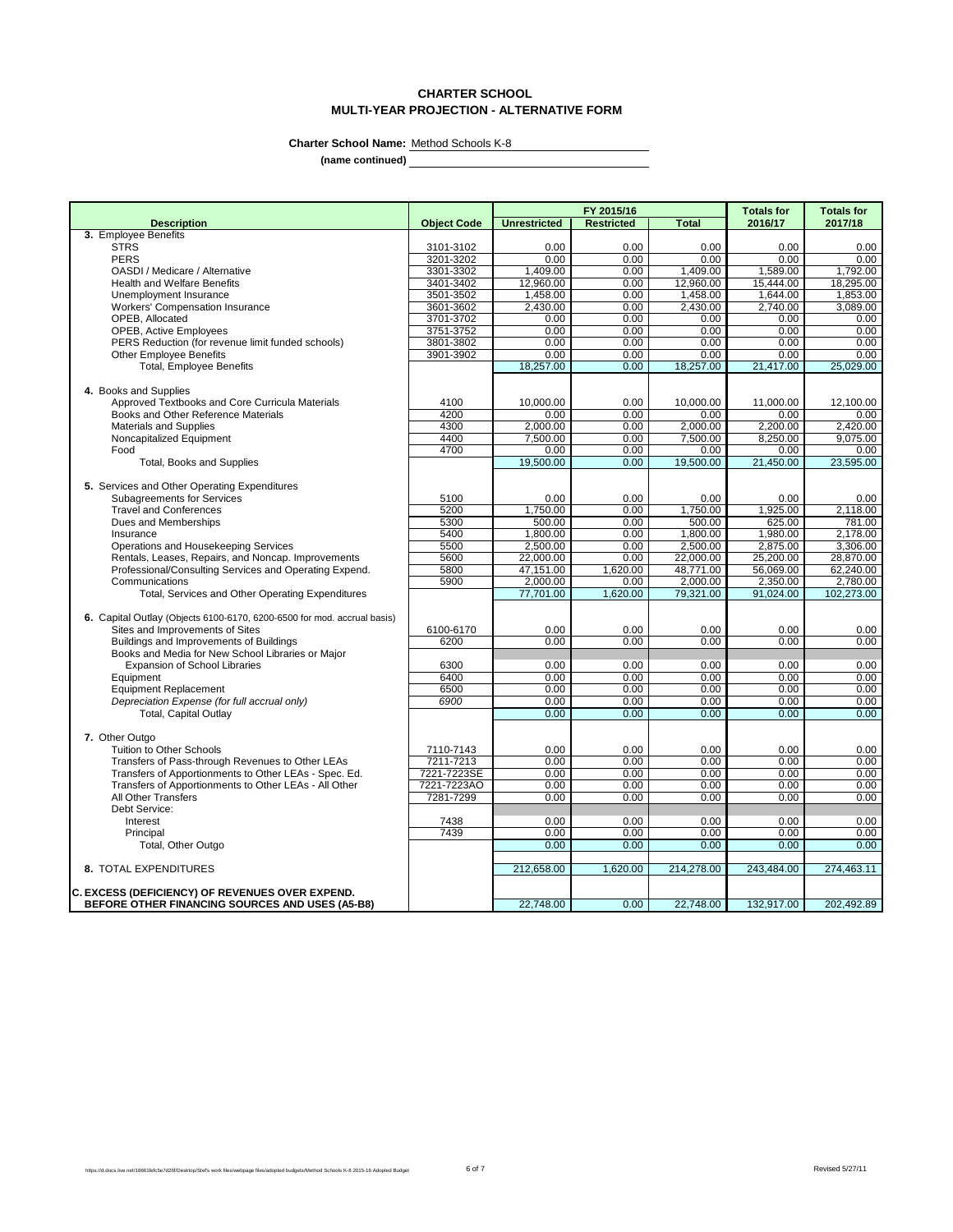# **CHARTER SCHOOL MULTI-YEAR PROJECTION - ALTERNATIVE FORM**

**Charter School Name:** Method Schools K-8

**(name continued)**

|                                                                             |                        |                     | FY 2015/16        |              | <b>Totals for</b> | <b>Totals for</b> |
|-----------------------------------------------------------------------------|------------------------|---------------------|-------------------|--------------|-------------------|-------------------|
| <b>Description</b>                                                          | <b>Object Code</b>     | <b>Unrestricted</b> | <b>Restricted</b> | <b>Total</b> | 2016/17           | 2017/18           |
| 3. Employee Benefits                                                        |                        |                     |                   |              |                   |                   |
| <b>STRS</b>                                                                 | 3101-3102              | 0.00                | 0.00              | 0.00         | 0.00              | 0.00              |
| <b>PERS</b>                                                                 | 3201-3202              | 0.00                | 0.00              | 0.00         | 0.00              | 0.00              |
| OASDI / Medicare / Alternative                                              | 3301-3302              | 1.409.00            | 0.00              | 1.409.00     | 1,589.00          | 1,792.00          |
| <b>Health and Welfare Benefits</b>                                          | 3401-3402              | 12,960.00           | 0.00              | 12,960.00    | 15,444.00         | 18,295.00         |
| Unemployment Insurance                                                      | 3501-3502              | 1,458.00            | 0.00              | 1,458.00     | 1,644.00          | 1,853.00          |
| <b>Workers' Compensation Insurance</b>                                      | 3601-3602              | 2,430.00            | 0.00              | 2,430.00     | 2,740.00          | 3,089.00          |
| OPEB, Allocated                                                             | 3701-3702<br>3751-3752 | 0.00<br>0.00        | 0.00<br>0.00      | 0.00<br>0.00 | 0.00<br>0.00      | 0.00<br>0.00      |
| OPEB, Active Employees<br>PERS Reduction (for revenue limit funded schools) | 3801-3802              | 0.00                | 0.00              | 0.00         | 0.00              | 0.00              |
| <b>Other Employee Benefits</b>                                              | 3901-3902              | 0.00                | 0.00              | 0.00         | 0.00              | 0.00              |
| <b>Total, Employee Benefits</b>                                             |                        | 18,257.00           | 0.00              | 18,257.00    | 21,417.00         | 25,029.00         |
|                                                                             |                        |                     |                   |              |                   |                   |
| 4. Books and Supplies                                                       |                        |                     |                   |              |                   |                   |
| Approved Textbooks and Core Curricula Materials                             | 4100                   | 10,000.00           | 0.00              | 10,000.00    | 11,000.00         | 12,100.00         |
| Books and Other Reference Materials                                         | 4200                   | 0.00                | 0.00              | 0.00         | 0.00              | 0.00              |
| Materials and Supplies                                                      | 4300                   | 2,000.00            | 0.00              | 2,000.00     | 2,200.00          | 2,420.00          |
| Noncapitalized Equipment                                                    | 4400                   | 7,500.00            | 0.00              | 7,500.00     | 8,250.00          | 9,075.00          |
| Food                                                                        | 4700                   | 0.00                | 0.00              | 0.00         | 0.00              | 0.00              |
| <b>Total, Books and Supplies</b>                                            |                        | 19,500.00           | 0.00              | 19.500.00    | 21,450.00         | 23.595.00         |
|                                                                             |                        |                     |                   |              |                   |                   |
| 5. Services and Other Operating Expenditures                                |                        |                     |                   |              |                   |                   |
| <b>Subagreements for Services</b>                                           | 5100                   | 0.00                | 0.00              | 0.00         | 0.00              | 0.00              |
| <b>Travel and Conferences</b>                                               | 5200                   | 1.750.00            | 0.00              | 1,750.00     | 1,925.00          | 2.118.00          |
| Dues and Memberships                                                        | 5300                   | 500.00              | 0.00              | 500.00       | 625.00            | 781.00            |
| Insurance                                                                   | 5400                   | 1,800.00            | 0.00              | 1,800.00     | 1,980.00          | 2,178.00          |
| Operations and Housekeeping Services                                        | 5500                   | 2,500.00            | 0.00              | 2,500.00     | 2.875.00          | 3.306.00          |
| Rentals, Leases, Repairs, and Noncap. Improvements                          | 5600                   | 22,000.00           | 0.00              | 22,000.00    | 25,200.00         | 28,870.00         |
| Professional/Consulting Services and Operating Expend.                      | 5800                   | 47,151.00           | 1,620.00          | 48,771.00    | 56,069.00         | 62,240.00         |
| Communications                                                              | 5900                   | 2,000.00            | 0.00              | 2,000.00     | 2,350.00          | 2,780.00          |
| Total, Services and Other Operating Expenditures                            |                        | 77,701.00           | 1,620.00          | 79,321.00    | 91,024.00         | 102,273.00        |
|                                                                             |                        |                     |                   |              |                   |                   |
| 6. Capital Outlay (Objects 6100-6170, 6200-6500 for mod. accrual basis)     |                        |                     |                   |              |                   |                   |
| Sites and Improvements of Sites                                             | 6100-6170              | 0.00                | 0.00              | 0.00         | 0.00              | 0.00              |
| Buildings and Improvements of Buildings                                     | 6200                   | 0.00                | 0.00              | 0.00         | 0.00              | 0.00              |
| Books and Media for New School Libraries or Major                           |                        |                     |                   |              |                   |                   |
| <b>Expansion of School Libraries</b>                                        | 6300                   | 0.00                | 0.00              | 0.00         | 0.00              | 0.00              |
| Equipment                                                                   | 6400                   | 0.00                | 0.00              | 0.00         | 0.00              | 0.00              |
| <b>Equipment Replacement</b>                                                | 6500                   | 0.00                | 0.00              | 0.00         | 0.00              | 0.00              |
| Depreciation Expense (for full accrual only)                                | 6900                   | 0.00                | 0.00              | 0.00<br>0.00 | 0.00              | 0.00<br>0.00      |
| <b>Total, Capital Outlay</b>                                                |                        | 0.00                | 0.00              |              | 0.00              |                   |
| 7. Other Outgo                                                              |                        |                     |                   |              |                   |                   |
| Tuition to Other Schools                                                    | 7110-7143              | 0.00                | 0.00              | 0.00         | 0.00              | 0.00              |
| Transfers of Pass-through Revenues to Other LEAs                            | 7211-7213              | 0.00                | 0.00              | 0.00         | 0.00              | 0.00              |
| Transfers of Apportionments to Other LEAs - Spec. Ed.                       | 7221-7223SE            | 0.00                | 0.00              | 0.00         | 0.00              | 0.00              |
| Transfers of Apportionments to Other LEAs - All Other                       | 7221-7223AO            | 0.00                | 0.00              | 0.00         | 0.00              | 0.00              |
| All Other Transfers                                                         | 7281-7299              | 0.00                | 0.00              | 0.00         | 0.00              | 0.00              |
| Debt Service:                                                               |                        |                     |                   |              |                   |                   |
| Interest                                                                    | 7438                   | 0.00                | 0.00              | 0.00         | 0.00              | 0.00              |
| Principal                                                                   | 7439                   | 0.00                | 0.00              | 0.00         | 0.00              | 0.00              |
| Total, Other Outgo                                                          |                        | 0.00                | 0.00              | 0.00         | 0.00              | 0.00              |
|                                                                             |                        |                     |                   |              |                   |                   |
| 8. TOTAL EXPENDITURES                                                       |                        | 212,658.00          | 1,620.00          | 214,278.00   | 243,484.00        | 274,463.11        |
|                                                                             |                        |                     |                   |              |                   |                   |
| <b>C. EXCESS (DEFICIENCY) OF REVENUES OVER EXPEND.</b>                      |                        |                     |                   |              |                   |                   |
| BEFORE OTHER FINANCING SOURCES AND USES (A5-B8)                             |                        | 22.748.00           | 0.00              | 22,748.00    | 132,917.00        | 202.492.89        |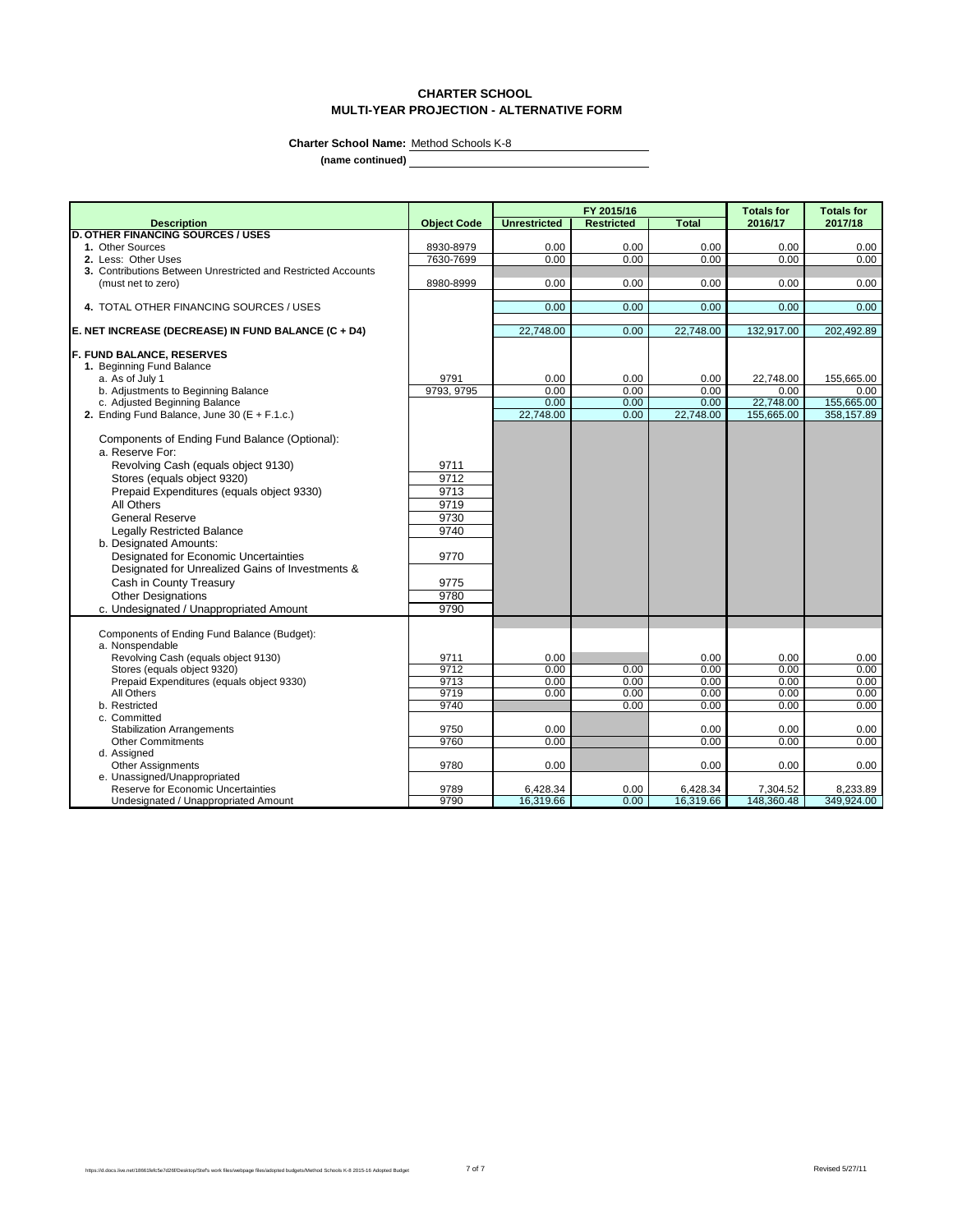# **CHARTER SCHOOL MULTI-YEAR PROJECTION - ALTERNATIVE FORM**

 $\overline{\phantom{0}}$ 

**Charter School Name:** Method Schools K-8

**(name continued)**

|                                                                    |                    |                       | FY 2015/16        |                       | <b>Totals for</b>      | <b>Totals for</b> |
|--------------------------------------------------------------------|--------------------|-----------------------|-------------------|-----------------------|------------------------|-------------------|
| <b>Description</b>                                                 | <b>Object Code</b> | <b>Unrestricted</b>   | <b>Restricted</b> | <b>Total</b>          | 2016/17                | 2017/18           |
| <b>D. OTHER FINANCING SOURCES / USES</b>                           |                    |                       |                   |                       |                        |                   |
| 1. Other Sources                                                   | 8930-8979          | 0.00                  | 0.00              | 0.00                  | 0.00                   | 0.00              |
| 2. Less: Other Uses                                                | 7630-7699          | 0.00                  | 0.00              | 0.00                  | 0.00                   | 0.00              |
| 3. Contributions Between Unrestricted and Restricted Accounts      |                    |                       |                   |                       |                        |                   |
| (must net to zero)                                                 | 8980-8999          | 0.00                  | 0.00              | 0.00                  | 0.00                   | 0.00              |
|                                                                    |                    |                       |                   |                       |                        |                   |
| 4. TOTAL OTHER FINANCING SOURCES / USES                            |                    | 0.00                  | 0.00              | 0.00                  | 0.00                   | 0.00              |
| E. NET INCREASE (DECREASE) IN FUND BALANCE (C + D4)                |                    | 22,748.00             | 0.00              | 22,748.00             | 132,917.00             | 202,492.89        |
| <b>F. FUND BALANCE, RESERVES</b>                                   |                    |                       |                   |                       |                        |                   |
| 1. Beginning Fund Balance                                          |                    |                       |                   |                       |                        |                   |
| a. As of July 1                                                    | 9791               | 0.00                  | 0.00              | 0.00                  | 22,748.00              | 155,665.00        |
| b. Adjustments to Beginning Balance                                | 9793, 9795         | 0.00                  | 0.00              | 0.00                  | 0.00                   | 0.00              |
| c. Adjusted Beginning Balance                                      |                    | 0.00                  | 0.00              | 0.00                  | 22,748.00              | 155,665.00        |
| 2. Ending Fund Balance, June 30 ( $E + F.1.c.$ )                   |                    | 22,748.00             | 0.00              | 22,748.00             | 155,665.00             | 358,157.89        |
| Components of Ending Fund Balance (Optional):                      |                    |                       |                   |                       |                        |                   |
| a. Reserve For:                                                    |                    |                       |                   |                       |                        |                   |
| Revolving Cash (equals object 9130)                                | 9711               |                       |                   |                       |                        |                   |
| Stores (equals object 9320)                                        | 9712               |                       |                   |                       |                        |                   |
| Prepaid Expenditures (equals object 9330)                          | 9713               |                       |                   |                       |                        |                   |
| All Others                                                         | 9719               |                       |                   |                       |                        |                   |
| <b>General Reserve</b>                                             | 9730               |                       |                   |                       |                        |                   |
| <b>Legally Restricted Balance</b>                                  | 9740               |                       |                   |                       |                        |                   |
| b. Designated Amounts:                                             |                    |                       |                   |                       |                        |                   |
| <b>Designated for Economic Uncertainties</b>                       | 9770               |                       |                   |                       |                        |                   |
| Designated for Unrealized Gains of Investments &                   |                    |                       |                   |                       |                        |                   |
| Cash in County Treasury                                            | 9775               |                       |                   |                       |                        |                   |
| <b>Other Designations</b>                                          | 9780               |                       |                   |                       |                        |                   |
|                                                                    | 9790               |                       |                   |                       |                        |                   |
| c. Undesignated / Unappropriated Amount                            |                    |                       |                   |                       |                        |                   |
| Components of Ending Fund Balance (Budget):                        |                    |                       |                   |                       |                        |                   |
| a. Nonspendable                                                    |                    |                       |                   |                       |                        |                   |
| Revolving Cash (equals object 9130)                                | 9711               | 0.00                  |                   | 0.00                  | 0.00                   | 0.00              |
| Stores (equals object 9320)                                        | 9712               | 0.00                  | 0.00              | 0.00                  | 0.00                   | 0.00              |
| Prepaid Expenditures (equals object 9330)                          | 9713               | 0.00                  | 0.00              | 0.00                  | 0.00                   | 0.00              |
| All Others                                                         | 9719               | 0.00                  | 0.00              | 0.00                  | 0.00                   | 0.00              |
| b. Restricted                                                      | 9740               |                       | 0.00              | 0.00                  | 0.00                   | 0.00              |
| c. Committed                                                       |                    |                       |                   |                       |                        |                   |
| <b>Stabilization Arrangements</b>                                  | 9750               | 0.00                  |                   | 0.00                  | 0.00                   | 0.00              |
| <b>Other Commitments</b>                                           | 9760               | 0.00                  |                   | 0.00                  | 0.00                   | 0.00              |
| d. Assigned                                                        |                    |                       |                   |                       |                        |                   |
| <b>Other Assignments</b>                                           | 9780               | 0.00                  |                   | 0.00                  | 0.00                   | 0.00              |
| e. Unassigned/Unappropriated<br>Reserve for Economic Uncertainties | 9789               |                       | 0.00              |                       |                        | 8,233.89          |
| Undesignated / Unappropriated Amount                               | 9790               | 6,428.34<br>16,319.66 | 0.00              | 6,428.34<br>16,319.66 | 7,304.52<br>148,360.48 | 349,924.00        |
|                                                                    |                    |                       |                   |                       |                        |                   |